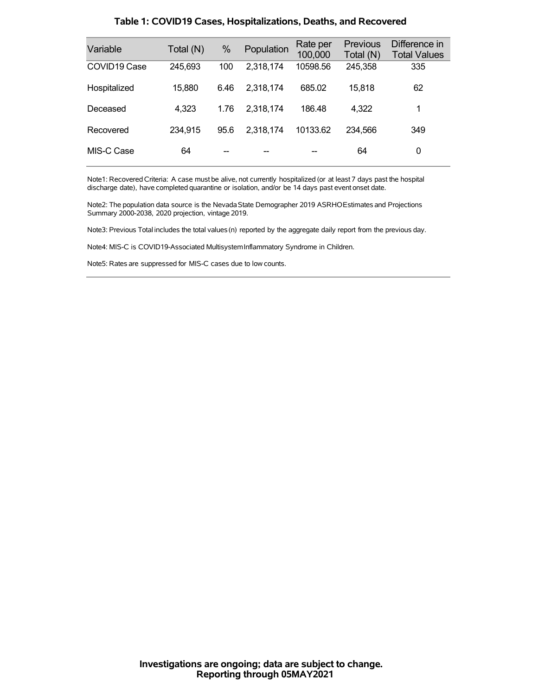| Variable                 | Total (N) | %    | Population | Rate per<br>100,000 | <b>Previous</b><br>Total (N) | Difference in<br><b>Total Values</b> |
|--------------------------|-----------|------|------------|---------------------|------------------------------|--------------------------------------|
| COVID <sub>19</sub> Case | 245,693   | 100  | 2,318,174  | 10598.56            | 245,358                      | 335                                  |
| Hospitalized             | 15,880    | 6.46 | 2,318,174  | 685.02              | 15,818                       | 62                                   |
| Deceased                 | 4,323     | 1.76 | 2,318,174  | 186.48              | 4,322                        | 1                                    |
| Recovered                | 234,915   | 95.6 | 2,318,174  | 10133.62            | 234.566                      | 349                                  |
| MIS-C Case               | 64        |      |            |                     | 64                           | 0                                    |

### **Table 1: COVID19 Cases, Hospitalizations, Deaths, and Recovered**

Note1: Recovered Criteria: A case must be alive, not currently hospitalized (or at least 7 days past the hospital discharge date), have completed quarantine or isolation, and/or be 14 days past event onset date.

Note2: The population data source is the Nevada State Demographer 2019 ASRHOEstimates and Projections Summary 2000-2038, 2020 projection, vintage 2019.

Note3: Previous Total includes the total values(n) reported by the aggregate daily report from the previous day.

Note4: MIS-C is COVID19-Associated MultisystemInflammatory Syndrome in Children.

Note5: Rates are suppressed for MIS-C cases due to low counts.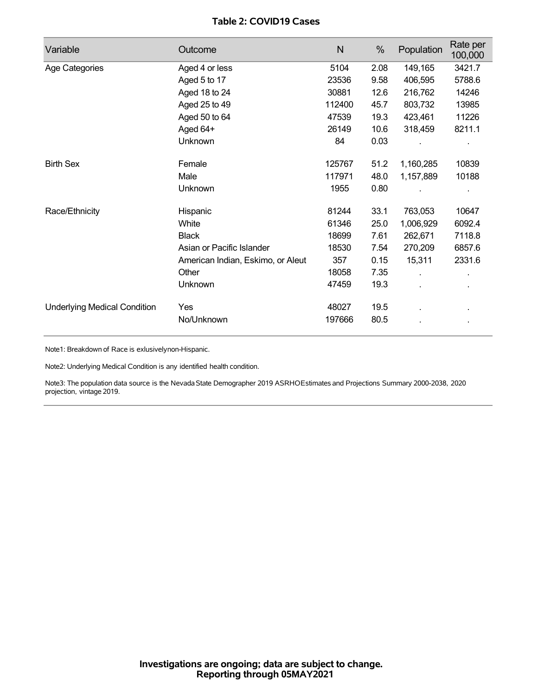## **Table 2: COVID19 Cases**

| Variable                            | Outcome                           | N      | %    | Population   | Rate per<br>100,000 |
|-------------------------------------|-----------------------------------|--------|------|--------------|---------------------|
| Age Categories                      | Aged 4 or less                    | 5104   | 2.08 | 149,165      | 3421.7              |
|                                     | Aged 5 to 17                      | 23536  | 9.58 | 406,595      | 5788.6              |
|                                     | Aged 18 to 24                     | 30881  | 12.6 | 216,762      | 14246               |
|                                     | Aged 25 to 49                     | 112400 | 45.7 | 803,732      | 13985               |
|                                     | Aged 50 to 64                     | 47539  | 19.3 | 423,461      | 11226               |
|                                     | Aged 64+                          | 26149  | 10.6 | 318,459      | 8211.1              |
|                                     | Unknown                           | 84     | 0.03 |              |                     |
| <b>Birth Sex</b>                    | Female                            | 125767 | 51.2 | 1,160,285    | 10839               |
|                                     | Male                              | 117971 | 48.0 | 1,157,889    | 10188               |
|                                     | Unknown                           | 1955   | 0.80 |              |                     |
| Race/Ethnicity                      | Hispanic                          | 81244  | 33.1 | 763,053      | 10647               |
|                                     | White                             | 61346  | 25.0 | 1,006,929    | 6092.4              |
|                                     | <b>Black</b>                      | 18699  | 7.61 | 262,671      | 7118.8              |
|                                     | Asian or Pacific Islander         | 18530  | 7.54 | 270,209      | 6857.6              |
|                                     | American Indian, Eskimo, or Aleut | 357    | 0.15 | 15,311       | 2331.6              |
|                                     | Other                             | 18058  | 7.35 | $\mathbf{r}$ | ä,                  |
|                                     | Unknown                           | 47459  | 19.3 | ÷.           |                     |
| <b>Underlying Medical Condition</b> | Yes                               | 48027  | 19.5 |              |                     |
|                                     | No/Unknown                        | 197666 | 80.5 |              |                     |

Note1: Breakdown of Race is exlusivelynon-Hispanic.

Note2: Underlying Medical Condition is any identified health condition.

Note3: The population data source is the NevadaState Demographer 2019 ASRHOEstimates and Projections Summary 2000-2038, 2020 projection, vintage 2019.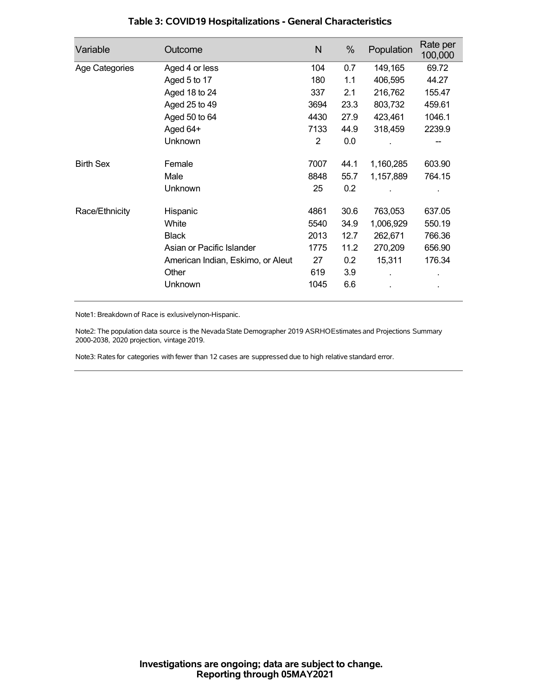| Variable         | Outcome                           | N    | %    | Population | Rate per<br>100,000 |
|------------------|-----------------------------------|------|------|------------|---------------------|
| Age Categories   | Aged 4 or less                    | 104  | 0.7  | 149,165    | 69.72               |
|                  | Aged 5 to 17                      | 180  | 1.1  | 406,595    | 44.27               |
|                  | Aged 18 to 24                     | 337  | 2.1  | 216,762    | 155.47              |
|                  | Aged 25 to 49                     | 3694 | 23.3 | 803,732    | 459.61              |
|                  | Aged 50 to 64                     | 4430 | 27.9 | 423,461    | 1046.1              |
|                  | Aged 64+                          | 7133 | 44.9 | 318,459    | 2239.9              |
|                  | Unknown                           | 2    | 0.0  |            |                     |
| <b>Birth Sex</b> | Female                            | 7007 | 44.1 | 1,160,285  | 603.90              |
|                  | Male                              | 8848 | 55.7 | 1,157,889  | 764.15              |
|                  | Unknown                           | 25   | 0.2  |            |                     |
| Race/Ethnicity   | Hispanic                          | 4861 | 30.6 | 763,053    | 637.05              |
|                  | White                             | 5540 | 34.9 | 1,006,929  | 550.19              |
|                  | <b>Black</b>                      | 2013 | 12.7 | 262,671    | 766.36              |
|                  | Asian or Pacific Islander         | 1775 | 11.2 | 270,209    | 656.90              |
|                  | American Indian, Eskimo, or Aleut | 27   | 0.2  | 15,311     | 176.34              |
|                  | Other                             | 619  | 3.9  |            |                     |
|                  | Unknown                           | 1045 | 6.6  |            |                     |

## **Table 3: COVID19 Hospitalizations - General Characteristics**

Note1: Breakdown of Race is exlusivelynon-Hispanic.

Note2: The population data source is the Nevada State Demographer 2019 ASRHOEstimates and Projections Summary 2000-2038, 2020 projection, vintage 2019.

Note3: Rates for categories with fewer than 12 cases are suppressed due to high relative standard error.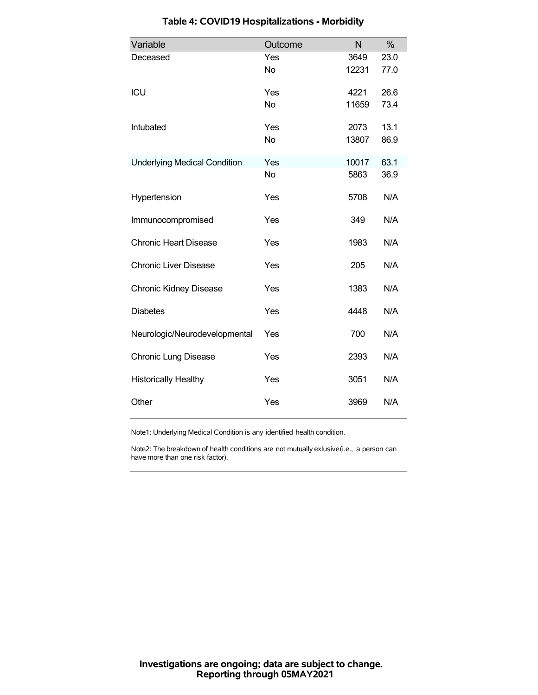| Variable                            | Outcome   | N     | %    |
|-------------------------------------|-----------|-------|------|
| Deceased                            | Yes       | 3649  | 23.0 |
|                                     | <b>No</b> | 12231 | 77.0 |
| ICU                                 | Yes       | 4221  | 26.6 |
|                                     | <b>No</b> | 11659 | 73.4 |
| Intubated                           | Yes       | 2073  | 13.1 |
|                                     | <b>No</b> | 13807 | 86.9 |
| <b>Underlying Medical Condition</b> | Yes       | 10017 | 63.1 |
|                                     | <b>No</b> | 5863  | 36.9 |
| Hypertension                        | Yes       | 5708  | N/A  |
| Immunocompromised                   | Yes       | 349   | N/A  |
| <b>Chronic Heart Disease</b>        | Yes       | 1983  | N/A  |
| <b>Chronic Liver Disease</b>        | Yes       | 205   | N/A  |
| <b>Chronic Kidney Disease</b>       | Yes       | 1383  | N/A  |
| <b>Diabetes</b>                     | Yes       | 4448  | N/A  |
| Neurologic/Neurodevelopmental       | Yes       | 700   | N/A  |
| <b>Chronic Lung Disease</b>         | Yes       | 2393  | N/A  |
| <b>Historically Healthy</b>         | Yes       | 3051  | N/A  |
| Other                               | Yes       | 3969  | N/A  |

# **Table 4: COVID19 Hospitalizations - Morbidity**

Note1: Underlying Medical Condition is any identified health condition.

Note2: The breakdown of health conditions are not mutually exlusive(i.e., a person can have more than one risk factor).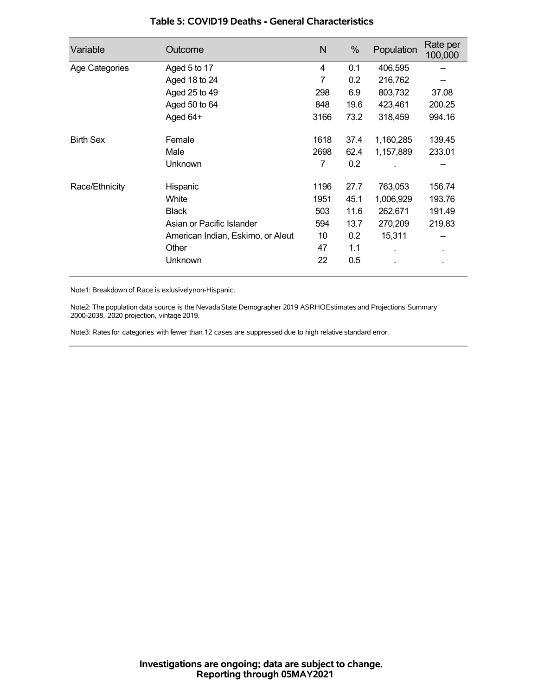| Variable         | Outcome                           | N    | %    | Population | Rate per<br>100,000 |
|------------------|-----------------------------------|------|------|------------|---------------------|
| Age Categories   | Aged 5 to 17                      | 4    | 0.1  | 406,595    |                     |
|                  | Aged 18 to 24                     | 7    | 0.2  | 216,762    |                     |
|                  | Aged 25 to 49                     | 298  | 6.9  | 803,732    | 37.08               |
|                  | Aged 50 to 64                     | 848  | 19.6 | 423,461    | 200.25              |
|                  | Aged 64+                          | 3166 | 73.2 | 318,459    | 994.16              |
| <b>Birth Sex</b> | Female                            | 1618 | 37.4 | 1,160,285  | 139.45              |
|                  | Male                              | 2698 | 62.4 | 1,157,889  | 233.01              |
|                  | Unknown                           | 7    | 0.2  |            |                     |
| Race/Ethnicity   | Hispanic                          | 1196 | 27.7 | 763,053    | 156.74              |
|                  | White                             | 1951 | 45.1 | 1,006,929  | 193.76              |
|                  | <b>Black</b>                      | 503  | 11.6 | 262,671    | 191.49              |
|                  | Asian or Pacific Islander         | 594  | 13.7 | 270,209    | 219.83              |
|                  | American Indian, Eskimo, or Aleut | 10   | 0.2  | 15,311     |                     |
|                  | Other                             | 47   | 1.1  |            | ٠                   |
|                  | Unknown                           | 22   | 0.5  |            |                     |

### **Table 5: COVID19 Deaths - General Characteristics**

Note1: Breakdown of Race is exlusivelynon-Hispanic.

Note2: The population data source is the Nevada State Demographer 2019 ASRHOEstimates and Projections Summary 2000-2038, 2020 projection, vintage 2019.

Note3: Rates for categories with fewer than 12 cases are suppressed due to high relative standard error.